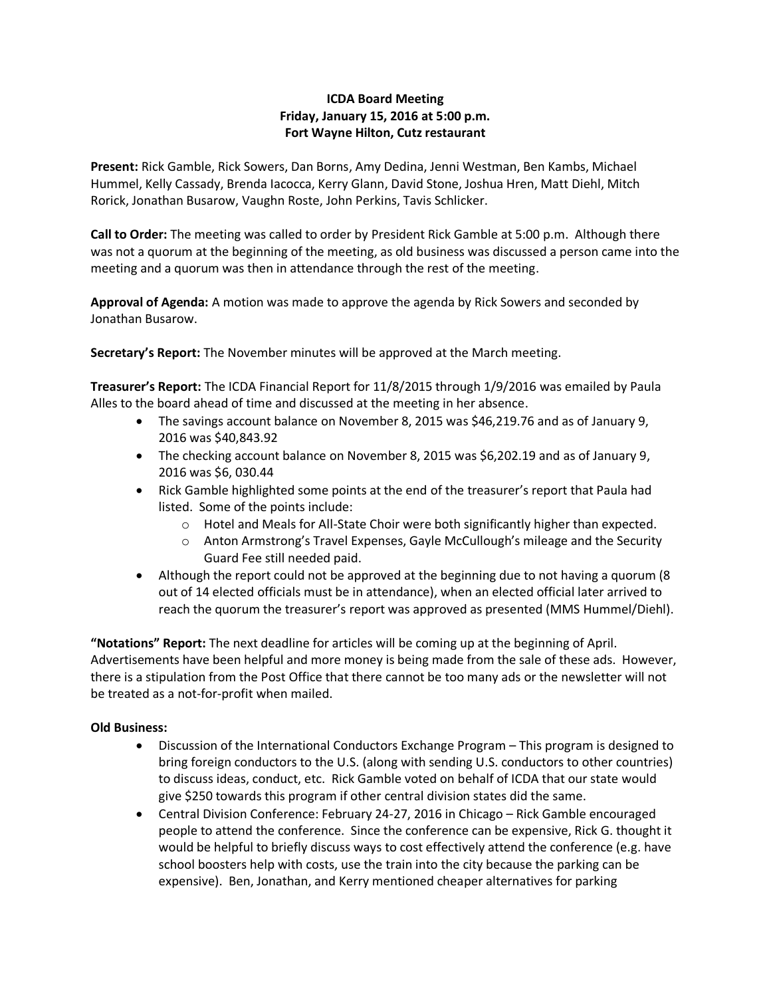# **ICDA Board Meeting Friday, January 15, 2016 at 5:00 p.m. Fort Wayne Hilton, Cutz restaurant**

**Present:** Rick Gamble, Rick Sowers, Dan Borns, Amy Dedina, Jenni Westman, Ben Kambs, Michael Hummel, Kelly Cassady, Brenda Iacocca, Kerry Glann, David Stone, Joshua Hren, Matt Diehl, Mitch Rorick, Jonathan Busarow, Vaughn Roste, John Perkins, Tavis Schlicker.

**Call to Order:** The meeting was called to order by President Rick Gamble at 5:00 p.m. Although there was not a quorum at the beginning of the meeting, as old business was discussed a person came into the meeting and a quorum was then in attendance through the rest of the meeting.

**Approval of Agenda:** A motion was made to approve the agenda by Rick Sowers and seconded by Jonathan Busarow.

**Secretary's Report:** The November minutes will be approved at the March meeting.

**Treasurer's Report:** The ICDA Financial Report for 11/8/2015 through 1/9/2016 was emailed by Paula Alles to the board ahead of time and discussed at the meeting in her absence.

- The savings account balance on November 8, 2015 was \$46,219.76 and as of January 9, 2016 was \$40,843.92
- The checking account balance on November 8, 2015 was \$6,202.19 and as of January 9, 2016 was \$6, 030.44
- Rick Gamble highlighted some points at the end of the treasurer's report that Paula had listed. Some of the points include:
	- $\circ$  Hotel and Meals for All-State Choir were both significantly higher than expected.
	- $\circ$  Anton Armstrong's Travel Expenses, Gayle McCullough's mileage and the Security Guard Fee still needed paid.
- Although the report could not be approved at the beginning due to not having a quorum (8 out of 14 elected officials must be in attendance), when an elected official later arrived to reach the quorum the treasurer's report was approved as presented (MMS Hummel/Diehl).

**"Notations" Report:** The next deadline for articles will be coming up at the beginning of April. Advertisements have been helpful and more money is being made from the sale of these ads. However, there is a stipulation from the Post Office that there cannot be too many ads or the newsletter will not be treated as a not-for-profit when mailed.

## **Old Business:**

- Discussion of the International Conductors Exchange Program This program is designed to bring foreign conductors to the U.S. (along with sending U.S. conductors to other countries) to discuss ideas, conduct, etc. Rick Gamble voted on behalf of ICDA that our state would give \$250 towards this program if other central division states did the same.
- Central Division Conference: February 24-27, 2016 in Chicago Rick Gamble encouraged people to attend the conference. Since the conference can be expensive, Rick G. thought it would be helpful to briefly discuss ways to cost effectively attend the conference (e.g. have school boosters help with costs, use the train into the city because the parking can be expensive). Ben, Jonathan, and Kerry mentioned cheaper alternatives for parking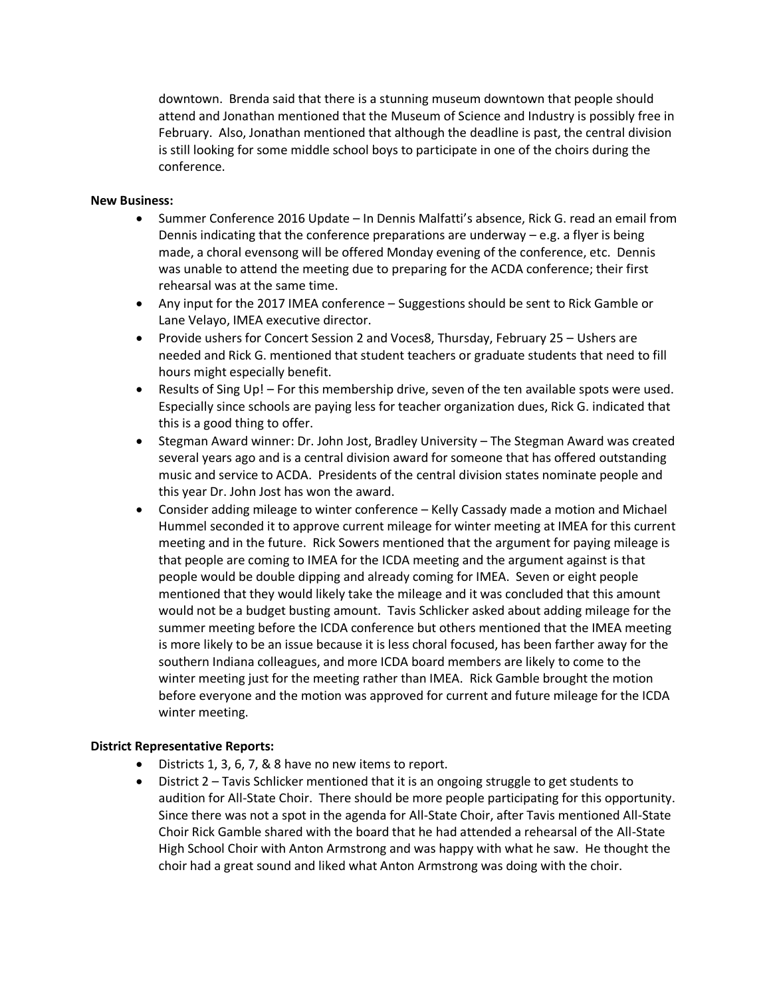downtown. Brenda said that there is a stunning museum downtown that people should attend and Jonathan mentioned that the Museum of Science and Industry is possibly free in February. Also, Jonathan mentioned that although the deadline is past, the central division is still looking for some middle school boys to participate in one of the choirs during the conference.

## **New Business:**

- Summer Conference 2016 Update In Dennis Malfatti's absence, Rick G. read an email from Dennis indicating that the conference preparations are underway  $-$  e.g. a flyer is being made, a choral evensong will be offered Monday evening of the conference, etc. Dennis was unable to attend the meeting due to preparing for the ACDA conference; their first rehearsal was at the same time.
- Any input for the 2017 IMEA conference Suggestions should be sent to Rick Gamble or Lane Velayo, IMEA executive director.
- Provide ushers for Concert Session 2 and Voces8, Thursday, February 25 Ushers are needed and Rick G. mentioned that student teachers or graduate students that need to fill hours might especially benefit.
- Results of Sing Up! For this membership drive, seven of the ten available spots were used. Especially since schools are paying less for teacher organization dues, Rick G. indicated that this is a good thing to offer.
- Stegman Award winner: Dr. John Jost, Bradley University The Stegman Award was created several years ago and is a central division award for someone that has offered outstanding music and service to ACDA. Presidents of the central division states nominate people and this year Dr. John Jost has won the award.
- Consider adding mileage to winter conference Kelly Cassady made a motion and Michael Hummel seconded it to approve current mileage for winter meeting at IMEA for this current meeting and in the future. Rick Sowers mentioned that the argument for paying mileage is that people are coming to IMEA for the ICDA meeting and the argument against is that people would be double dipping and already coming for IMEA. Seven or eight people mentioned that they would likely take the mileage and it was concluded that this amount would not be a budget busting amount. Tavis Schlicker asked about adding mileage for the summer meeting before the ICDA conference but others mentioned that the IMEA meeting is more likely to be an issue because it is less choral focused, has been farther away for the southern Indiana colleagues, and more ICDA board members are likely to come to the winter meeting just for the meeting rather than IMEA. Rick Gamble brought the motion before everyone and the motion was approved for current and future mileage for the ICDA winter meeting.

## **District Representative Reports:**

- Districts 1, 3, 6, 7, & 8 have no new items to report.
- District 2 Tavis Schlicker mentioned that it is an ongoing struggle to get students to audition for All-State Choir. There should be more people participating for this opportunity. Since there was not a spot in the agenda for All-State Choir, after Tavis mentioned All-State Choir Rick Gamble shared with the board that he had attended a rehearsal of the All-State High School Choir with Anton Armstrong and was happy with what he saw. He thought the choir had a great sound and liked what Anton Armstrong was doing with the choir.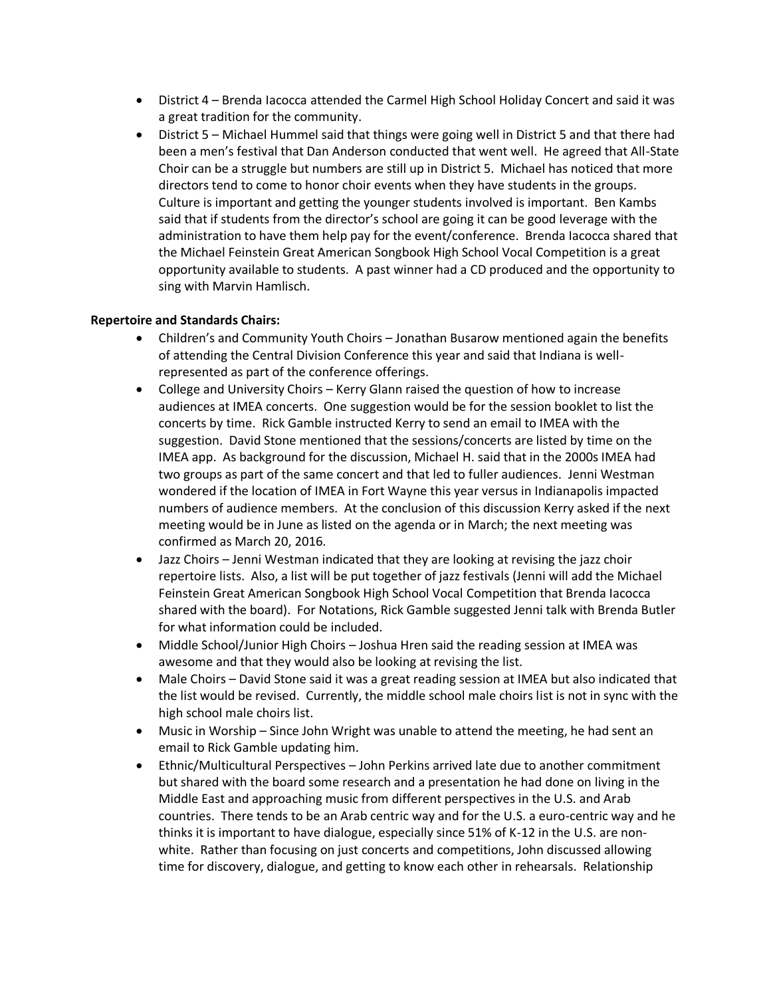- District 4 Brenda Iacocca attended the Carmel High School Holiday Concert and said it was a great tradition for the community.
- District 5 Michael Hummel said that things were going well in District 5 and that there had been a men's festival that Dan Anderson conducted that went well. He agreed that All-State Choir can be a struggle but numbers are still up in District 5. Michael has noticed that more directors tend to come to honor choir events when they have students in the groups. Culture is important and getting the younger students involved is important. Ben Kambs said that if students from the director's school are going it can be good leverage with the administration to have them help pay for the event/conference. Brenda Iacocca shared that the Michael Feinstein Great American Songbook High School Vocal Competition is a great opportunity available to students. A past winner had a CD produced and the opportunity to sing with Marvin Hamlisch.

### **Repertoire and Standards Chairs:**

- Children's and Community Youth Choirs Jonathan Busarow mentioned again the benefits of attending the Central Division Conference this year and said that Indiana is wellrepresented as part of the conference offerings.
- College and University Choirs Kerry Glann raised the question of how to increase audiences at IMEA concerts. One suggestion would be for the session booklet to list the concerts by time. Rick Gamble instructed Kerry to send an email to IMEA with the suggestion. David Stone mentioned that the sessions/concerts are listed by time on the IMEA app. As background for the discussion, Michael H. said that in the 2000s IMEA had two groups as part of the same concert and that led to fuller audiences. Jenni Westman wondered if the location of IMEA in Fort Wayne this year versus in Indianapolis impacted numbers of audience members. At the conclusion of this discussion Kerry asked if the next meeting would be in June as listed on the agenda or in March; the next meeting was confirmed as March 20, 2016.
- Jazz Choirs Jenni Westman indicated that they are looking at revising the jazz choir repertoire lists. Also, a list will be put together of jazz festivals (Jenni will add the Michael Feinstein Great American Songbook High School Vocal Competition that Brenda Iacocca shared with the board). For Notations, Rick Gamble suggested Jenni talk with Brenda Butler for what information could be included.
- Middle School/Junior High Choirs Joshua Hren said the reading session at IMEA was awesome and that they would also be looking at revising the list.
- Male Choirs David Stone said it was a great reading session at IMEA but also indicated that the list would be revised. Currently, the middle school male choirs list is not in sync with the high school male choirs list.
- Music in Worship Since John Wright was unable to attend the meeting, he had sent an email to Rick Gamble updating him.
- Ethnic/Multicultural Perspectives John Perkins arrived late due to another commitment but shared with the board some research and a presentation he had done on living in the Middle East and approaching music from different perspectives in the U.S. and Arab countries. There tends to be an Arab centric way and for the U.S. a euro-centric way and he thinks it is important to have dialogue, especially since 51% of K-12 in the U.S. are nonwhite. Rather than focusing on just concerts and competitions, John discussed allowing time for discovery, dialogue, and getting to know each other in rehearsals. Relationship